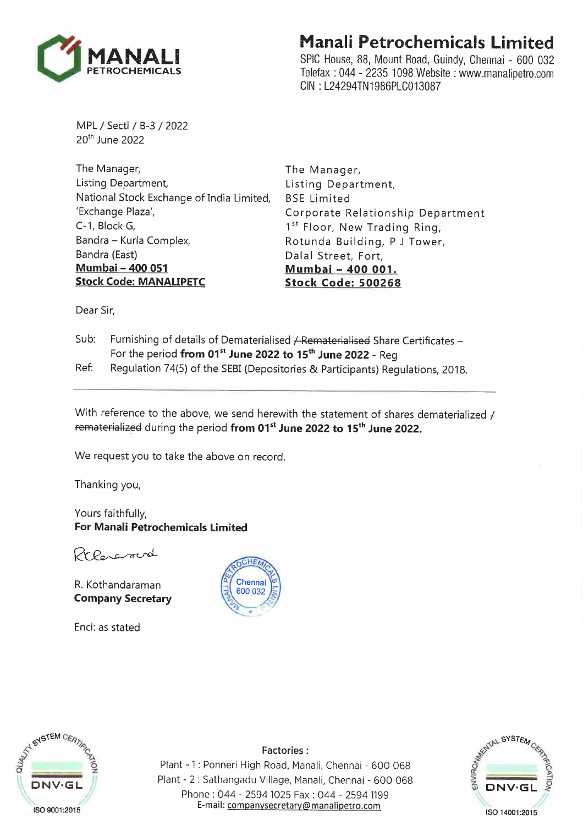

## **Manali Petrochemicals Limited**

SPIC House, 88, Mount Road, Guindy, Chennai - 600 032 Telefax : 044 - 2235 1098 Website : www.manalipetro.com CIN : L24294TN1986PLC013087

MPL / Sectl / B-3 / 2022 20<sup>th</sup> June 2022

The Manager, Listing Department, National Stock Exchange of India Limited, 'Exchange Plaza', C-1, Block G, Sandra - Kurla Complex, Bandra (East) **Mumbai- 400 051 Stock Code: MANALIPETC** 

The Manager, Listing Department, BSE Limited Corporate Relationship Department 1st Floor, New Trading Ring, Rotunda Building, P J Tower, Dalal Street, Fort, **Mumbai - 400 001. Stock Code: 500268** 

Dear Sir,

- Sub: Furnishing of details of Dematerialised / Rematerialised Share Certificates -For the period **from 01 st June 2022 to 15 th June 2022 -** Reg
- Ref: Regulation 74(5) of the SEBI (Depositories & Participants) Regulations, 2018.

With reference to the above, we send herewith the statement of shares dematerialized  $\neq$ rematerialized during the period **from 01 st June 2022 to 15 th June 2022.** 

We request you to take the above on record.

Thanking you,

Yours faithfully, **For Manali Petrochemicals Limited** 

Prhanand

R. Kothandaraman **Company Secretary** 

Encl: as stated





**Factories:** 

Plant - 1 : Ponneri High Road, Manali, Chennai - 600 068 Plant - 2 : Sathangadu Village, Manali, Chennai - 600 068 Phone : 044 - 2594 1025 Fax : 044 - 2594 1199 E-mail: companysecretary@manalipetro.com

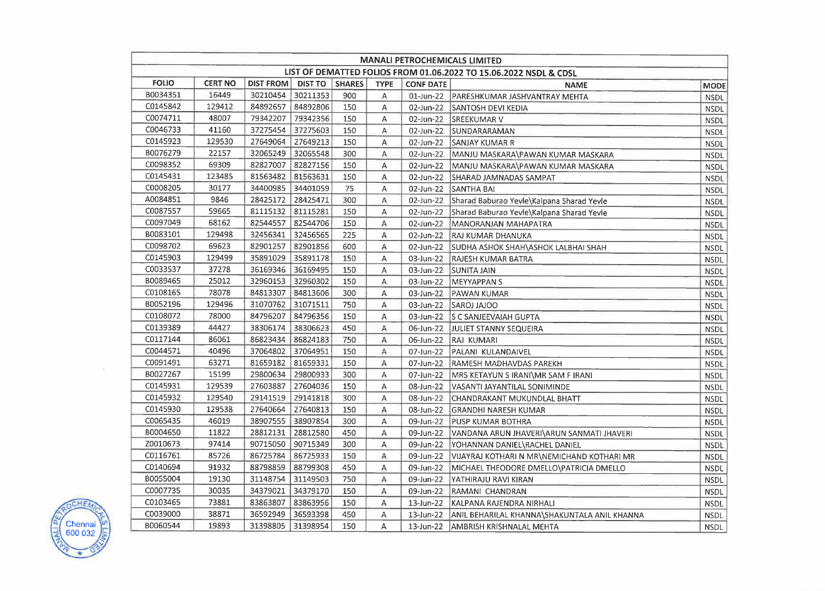| <b>MANALI PETROCHEMICALS LIMITED</b>                                                              |                |                   |                   |     |             |                  |                                                        |             |
|---------------------------------------------------------------------------------------------------|----------------|-------------------|-------------------|-----|-------------|------------------|--------------------------------------------------------|-------------|
| LIST OF DEMATTED FOLIOS FROM 01.06.2022 TO 15.06.2022 NSDL & CDSL<br>DIST FROM   DIST TO   SHARES |                |                   |                   |     |             |                  |                                                        |             |
| <b>FOLIO</b>                                                                                      | <b>CERT NO</b> |                   |                   |     | <b>TYPE</b> | <b>CONF DATE</b> | <b>NAME</b>                                            | MODE        |
| B0034351                                                                                          | 16449          | 30210454          | 30211353          | 900 | Α           |                  | 01-Jun-22 PARESHKUMAR JASHVANTRAY MEHTA                | <b>NSDL</b> |
| C0145842                                                                                          | 129412         | 84892657          | 84892806          | 150 | Α           |                  | 02-Jun-22 SANTOSH DEVI KEDIA                           | <b>NSDL</b> |
| C0074711                                                                                          | 48007          | 79342207          | 79342356          | 150 | Α           |                  | 02-Jun-22 SREEKUMAR V                                  | <b>NSDL</b> |
| C0046733                                                                                          | 41160          | 37275454 37275603 |                   | 150 | Α           | 02-Jun-22        | SUNDARARAMAN                                           | <b>NSDL</b> |
| C0145923                                                                                          | 129530         | 27649064          | 27649213          | 150 | Α           |                  | 02-Jun-22 SANJAY KUMAR R                               | <b>NSDL</b> |
| B0076279                                                                                          | 22157          | 32065249          | 32065548          | 300 | Α           |                  | 02-Jun-22   MANJU MASKARA\PAWAN KUMAR MASKARA          | <b>NSDL</b> |
| C0098352                                                                                          | 69309          | 82827007          | 82827156          | 150 | А           |                  | 02-Jun-22   MANJU MASKARA\PAWAN KUMAR MASKARA          | <b>NSDL</b> |
| C0145431                                                                                          | 123485         | 81563482          | 81563631          | 150 | Α           |                  | 02-Jun-22 SHARAD JAMNADAS SAMPAT                       | <b>NSDL</b> |
| C0008205                                                                                          | 30177          |                   | 34400985 34401059 | 75  | Α           |                  | 02-Jun-22 SANTHA BAI                                   | <b>NSDL</b> |
| A0084851                                                                                          | 9846           | 28425172          | 28425471          | 300 | Α           | 02-Jun-22        | Sharad Baburao Yevle\Kalpana Sharad Yevle              | <b>NSDL</b> |
| C0087557                                                                                          | 59665          | 81115132 81115281 |                   | 150 | А           |                  | 02-Jun-22 Sharad Baburao Yevle\Kalpana Sharad Yevle    | <b>NSDL</b> |
| C0097049                                                                                          | 68162          | 82544557          | 82544706          | 150 | Α           |                  | 02-Jun-22   MANORANJAN MAHAPATRA                       | <b>NSDL</b> |
| B0083101                                                                                          | 129498         | 32456341          | 32456565          | 225 | Α           |                  | 02-Jun-22 RAJ KUMAR DHANUKA                            | <b>NSDL</b> |
| C0098702                                                                                          | 69623          | 82901257          | 82901856          | 600 | Α           |                  | 02-Jun-22 SUDHA ASHOK SHAH\ASHOK LALBHAI SHAH          | <b>NSDL</b> |
| C0145903                                                                                          | 129499         | 35891029          | 35891178          | 150 | Α           |                  | 03-Jun-22   RAJESH KUMAR BATRA                         | <b>NSDL</b> |
| C0033537                                                                                          | 37278          | 36169346          | 36169495          | 150 | Α           |                  | 03-Jun-22 SUNITA JAIN                                  | <b>NSDL</b> |
| B0089465                                                                                          | 25012          | 32960153 32960302 |                   | 150 | Α           |                  | 03-Jun-22   MEYYAPPAN S                                | <b>NSDL</b> |
| C0108165                                                                                          | 78078          | 84813307          | 84813606          | 300 | A           |                  | 03-Jun-22   PAWAN KUMAR                                | <b>NSDL</b> |
| B0052196                                                                                          | 129496         | 31070762          | 31071511          | 750 | Α           |                  | 03-Jun-22 SAROJ JAJOO                                  | <b>NSDL</b> |
| C0108072                                                                                          | 78000          | 84796207          | 84796356          | 150 | Α           |                  | 03-Jun-22 S C SANJEEVAIAH GUPTA                        | <b>NSDL</b> |
| C0139389                                                                                          | 44427          | 38306174          | 38306623          | 450 | Α           |                  | 06-Jun-22 JJULIET STANNY SEQUEIRA                      | <b>NSDL</b> |
| C0117144                                                                                          | 86061          | 86823434          | 86824183          | 750 | Α           |                  | 06-Jun-22 RAJ KUMARI                                   | <b>NSDL</b> |
| C0044571                                                                                          | 40496          | 37064802          | 37064951          | 150 | Α           |                  | 07-Jun-22   PALANI KULANDAIVEL                         | <b>NSDL</b> |
| C0091491                                                                                          | 63271          | 81659182          | 81659331          | 150 | Α           |                  | 07-Jun-22   RAMESH MADHAVDAS PAREKH                    | <b>NSDL</b> |
| B0027267                                                                                          | 15199          | 29800634          | 29800933          | 300 | А           |                  | 07-Jun-22   MRS KETAYUN S IRANI\MR SAM F IRANI         | <b>NSDL</b> |
| C0145931                                                                                          | 129539         | 27603887          | 27604036          | 150 | А           |                  | 08-Jun-22   VASANTI JAYANTILAL SONIMINDE               | <b>NSDL</b> |
| C0145932                                                                                          | 129540         | 29141519          | 29141818          | 300 | Α           |                  | 08-Jun-22 CHANDRAKANT MUKUNDLAL BHATT                  | <b>NSDL</b> |
| C0145930                                                                                          | 129538         | 27640664          | 27640813          | 150 | Α           |                  | 08-Jun-22 GRANDHI NARESH KUMAR                         | <b>NSDL</b> |
| C0065435                                                                                          | 46019          | 38907555          | 38907854          | 300 | Α           |                  | 09-Jun-22   PUSP KUMAR BOTHRA                          | <b>NSDL</b> |
| B0004650                                                                                          | 11822          | 28812131          | 28812580          | 450 | Α           |                  | 09-Jun-22 VANDANA ARUN JHAVERI\ARUN SANMATI JHAVERI    | <b>NSDL</b> |
| Z0010673                                                                                          | 97414          | 90715050          | 90715349          | 300 | Α           |                  | 09-Jun-22 YOHANNAN DANIEL\RACHEL DANIEL                | <b>NSDL</b> |
| C0116761                                                                                          | 85726          | 86725784          | 86725933          | 150 | Α           |                  | 09-Jun-22   VIJAYRAJ KOTHARI N MR NEMICHAND KOTHARI MR | <b>NSDL</b> |
| C0140694                                                                                          | 91932          | 88798859          | 88799308          | 450 | Α           |                  | 09-Jun-22 MICHAEL THEODORE DMELLO \PATRICIA DMELLO     | <b>NSDL</b> |
| B0055004                                                                                          | 19130          | 31148754          | 31149503          | 750 | A           | 09-Jun-22        | YATHIRAJU RAVI KIRAN                                   | <b>NSDL</b> |
| C0007735                                                                                          | 30035          | 34379021          | 34379170          | 150 | Α           |                  | 09-Jun-22 RAMANI CHANDRAN                              | <b>NSDL</b> |
| C0103465                                                                                          | 73881          | 83863807          | 83863956          | 150 | Α           | 13-Jun-22        | KALPANA RAJENDRA NIRHALI                               | <b>NSDL</b> |
| C0039000                                                                                          | 38871          | 36592949          | 36593398          | 450 | A           | 13-Jun-22        | ANIL BEHARILAL KHANNA\SHAKUNTALA ANIL KHANNA           | <b>NSDL</b> |
| B0060544                                                                                          | 19893          | 31398805          | 31398954          | 150 | A           |                  | 13-Jun-22   AMBRISH KRISHNALAL MEHTA                   | <b>NSDL</b> |



 $\sim$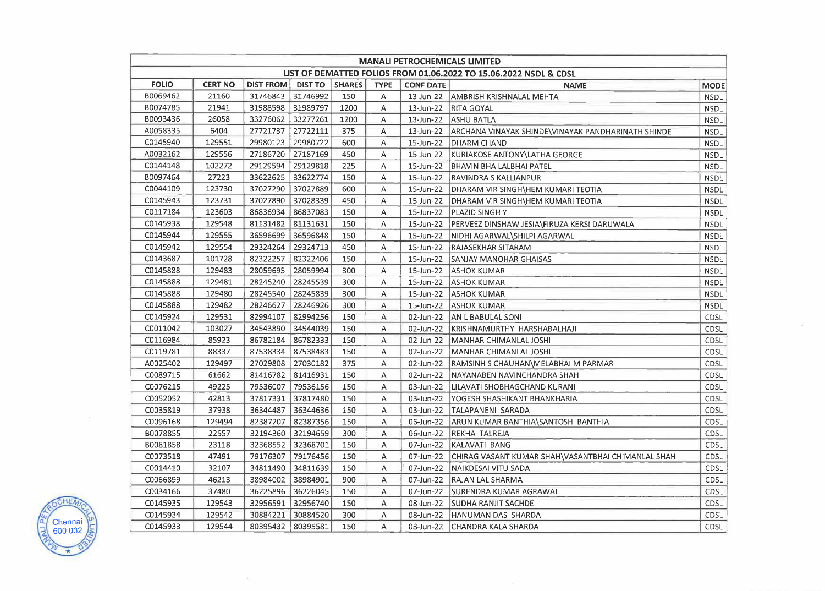| <b>MANALI PETROCHEMICALS LIMITED</b>                              |                |                  |                |               |             |                  |                                                              |             |
|-------------------------------------------------------------------|----------------|------------------|----------------|---------------|-------------|------------------|--------------------------------------------------------------|-------------|
| LIST OF DEMATTED FOLIOS FROM 01.06.2022 TO 15.06.2022 NSDL & CDSL |                |                  |                |               |             |                  |                                                              |             |
| <b>FOLIO</b>                                                      | <b>CERT NO</b> | <b>DIST FROM</b> | <b>DIST TO</b> | <b>SHARES</b> | <b>TYPE</b> | <b>CONF DATE</b> | <b>NAME</b>                                                  | MODE        |
| B0069462                                                          | 21160          | 31746843         | 31746992       | 150           | Α           |                  | 13-Jun-22   AMBRISH KRISHNALAL MEHTA                         | <b>NSDL</b> |
| B0074785                                                          | 21941          | 31988598         | 31989797       | 1200          | Α           |                  | 13-Jun-22 RITA GOYAL                                         | <b>NSDL</b> |
| B0093436                                                          | 26058          | 33276062         | 33277261       | 1200          | Α           |                  | 13-Jun-22 ASHU BATLA                                         | <b>NSDL</b> |
| A0058335                                                          | 6404           | 27721737         | 27722111       | 375           | Α           |                  | 13-Jun-22 ARCHANA VINAYAK SHINDE\VINAYAK PANDHARINATH SHINDE | <b>NSDL</b> |
| C0145940                                                          | 129551         | 29980123         | 29980722       | 600           | Α           |                  | 15-Jun-22 DHARMICHAND                                        | <b>NSDL</b> |
| A0032162                                                          | 129556         | 27186720         | 27187169       | 450           | Α           |                  | 15-Jun-22 KURIAKOSE ANTONY\LATHA GEORGE                      | <b>NSDL</b> |
| C0144148                                                          | 102272         | 29129594         | 29129818       | 225           | Α           |                  | 15-Jun-22   BHAVIN BHAILALBHAI PATEL                         | <b>NSDL</b> |
| B0097464                                                          | 27223          | 33622625         | 33622774       | 150           | А           |                  | 15-Jun-22   RAVINDRA S KALLIANPUR                            | <b>NSDL</b> |
| C0044109                                                          | 123730         | 37027290         | 37027889       | 600           | Α           |                  | 15-Jun-22   DHARAM VIR SINGH\HEM KUMARI TEOTIA               | <b>NSDL</b> |
| C0145943                                                          | 123731         | 37027890         | 37028339       | 450           | Α           |                  | 15-Jun-22   DHARAM VIR SINGH\HEM KUMARI TEOTIA               | <b>NSDL</b> |
| C0117184                                                          | 123603         | 86836934         | 86837083       | 150           | Α           |                  | 15-Jun-22 PLAZID SINGH Y                                     | <b>NSDL</b> |
| C0145938                                                          | 129548         | 81131482         | 81131631       | 150           | Α           |                  | 15-Jun-22 PERVEEZ DINSHAW JESIA\FIRUZA KERSI DARUWALA        | <b>NSDL</b> |
| C0145944                                                          | 129555         | 36596699         | 36596848       | 150           | А           |                  | 15-Jun-22   NIDHI AGARWAL SHILPI AGARWAL                     | <b>NSDL</b> |
| C0145942                                                          | 129554         | 29324264         | 29324713       | 450           | Α           |                  | 15-Jun-22   RAJASEKHAR SITARAM                               | <b>NSDL</b> |
| C0143687                                                          | 101728         | 82322257         | 82322406       | 150           | А           |                  | 15-Jun-22 SANJAY MANOHAR GHAISAS                             | <b>NSDL</b> |
| C0145888                                                          | 129483         | 28059695         | 28059994       | 300           | Α           |                  | 15-Jun-22 ASHOK KUMAR                                        | <b>NSDL</b> |
| C0145888                                                          | 129481         | 28245240         | 28245539       | 300           | Α           |                  | 15-Jun-22 ASHOK KUMAR                                        | <b>NSDL</b> |
| C0145888                                                          | 129480         | 28245540         | 28245839       | 300           | A           |                  | 15-Jun-22   ASHOK KUMAR                                      | <b>NSDL</b> |
| C0145888                                                          | 129482         | 28246627         | 28246926       | 300           | Α           |                  | 15-Jun-22 ASHOK KUMAR                                        | <b>NSDL</b> |
| C0145924                                                          | 129531         | 82994107         | 82994256       | 150           | А           |                  | 02-Jun-22 ANIL BABULAL SONI                                  | <b>CDSL</b> |
| C0011042                                                          | 103027         | 34543890         | 34544039       | 150           | Α           |                  | 02-Jun-22 KRISHNAMURTHY HARSHABALHAJI                        | <b>CDSL</b> |
| C0116984                                                          | 85923          | 86782184         | 86782333       | 150           | Α           |                  | 02-Jun-22   MANHAR CHIMANLAL JOSHI                           | <b>CDSL</b> |
| C0119781                                                          | 88337          | 87538334         | 87538483       | 150           | Α           |                  | 02-Jun-22   MANHAR CHIMANLAL JOSHI                           | <b>CDSL</b> |
| A0025402                                                          | 129497         | 27029808         | 27030182       | 375           | Α           |                  | 02-Jun-22 RAMSINH S CHAUHAN\MELABHAI M PARMAR                | <b>CDSL</b> |
| C0089715                                                          | 61662          | 81416782         | 81416931       | 150           | Α           | 02-Jun-22        | NAYANABEN NAVINCHANDRA SHAH                                  | <b>CDSL</b> |
| C0076215                                                          | 49225          | 79536007         | 79536156       | 150           | Α           |                  | 03-Jun-22   LILAVATI SHOBHAGCHAND KURANI                     | CDSL        |
| C0052052                                                          | 42813          | 37817331         | 37817480       | 150           | Α           | 03-Jun-22        | YOGESH SHASHIKANT BHANKHARIA                                 | CDSL        |
| C0035819                                                          | 37938          | 36344487         | 36344636       | 150           | Α           | 03-Jun-22        | TALAPANENI SARADA                                            | <b>CDSL</b> |
| C0096168                                                          | 129494         | 82387207         | 82387356       | 150           | A           |                  | 06-Jun-22 ARUN KUMAR BANTHIA\SANTOSH BANTHIA                 | <b>CDSL</b> |
| B0078855                                                          | 22557          | 32194360         | 32194659       | 300           | Α           |                  | 06-Jun-22 REKHA TALREJA                                      | <b>CDSL</b> |
| B0081858                                                          | 23118          | 32368552         | 32368701       | 150           | A           | 07-Jun-22        | KALAVATI BANG                                                | <b>CDSL</b> |
| C0073518                                                          | 47491          | 79176307         | 79176456       | 150           | Α           |                  | 07-Jun-22 CHIRAG VASANT KUMAR SHAH\VASANTBHAI CHIMANLAL SHAH | CDSL        |
| C0014410                                                          | 32107          | 34811490         | 34811639       | 150           | Α           |                  | 07-Jun-22 NAIKDESAI VITU SADA                                | <b>CDSL</b> |
| C0066899                                                          | 46213          | 38984002         | 38984901       | 900           | Α           |                  | 07-Jun-22 RAJAN LAL SHARMA                                   | <b>CDSL</b> |
| C0034166                                                          | 37480          | 36225896         | 36226045       | 150           | Α           |                  | 07-Jun-22 SURENDRA KUMAR AGRAWAL                             | CDSL        |
| C0145935                                                          | 129543         | 32956591         | 32956740       | 150           | Α           |                  | 08-Jun-22   SUDHA RANJIT SACHDE                              | <b>CDSL</b> |
| C0145934                                                          | 129542         | 30884221         | 30884520       | 300           | Α           | 08-Jun-22        | HANUMAN DAS SHARDA                                           | CDSL        |
| C0145933                                                          | 129544         | 80395432         | 80395581       | 150           | Α           | 08-Jun-22        | CHANDRA KALA SHARDA                                          | CDSL        |

 $\mathcal{U}$ 



 $\sim 10$